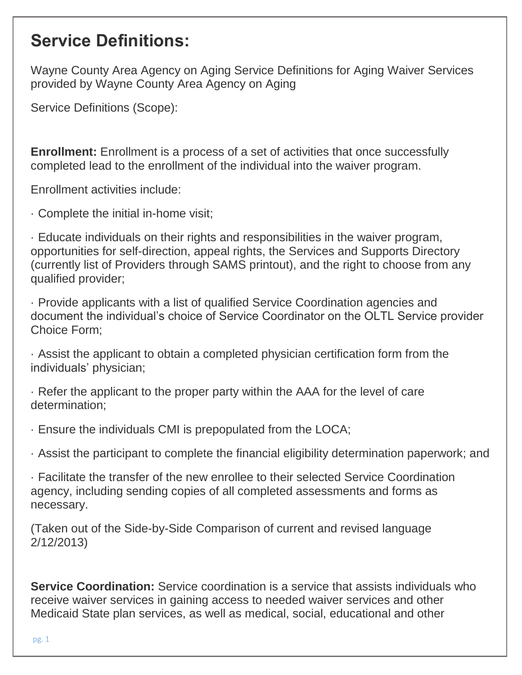Wayne County Area Agency on Aging Service Definitions for Aging Waiver Services provided by Wayne County Area Agency on Aging

Service Definitions (Scope):

**Enrollment:** Enrollment is a process of a set of activities that once successfully completed lead to the enrollment of the individual into the waiver program.

Enrollment activities include:

· Complete the initial in-home visit;

· Educate individuals on their rights and responsibilities in the waiver program, opportunities for self-direction, appeal rights, the Services and Supports Directory (currently list of Providers through SAMS printout), and the right to choose from any qualified provider;

· Provide applicants with a list of qualified Service Coordination agencies and document the individual's choice of Service Coordinator on the OLTL Service provider Choice Form;

· Assist the applicant to obtain a completed physician certification form from the individuals' physician;

· Refer the applicant to the proper party within the AAA for the level of care determination;

· Ensure the individuals CMI is prepopulated from the LOCA;

· Assist the participant to complete the financial eligibility determination paperwork; and

· Facilitate the transfer of the new enrollee to their selected Service Coordination agency, including sending copies of all completed assessments and forms as necessary.

(Taken out of the Side-by-Side Comparison of current and revised language 2/12/2013)

**Service Coordination:** Service coordination is a service that assists individuals who receive waiver services in gaining access to needed waiver services and other Medicaid State plan services, as well as medical, social, educational and other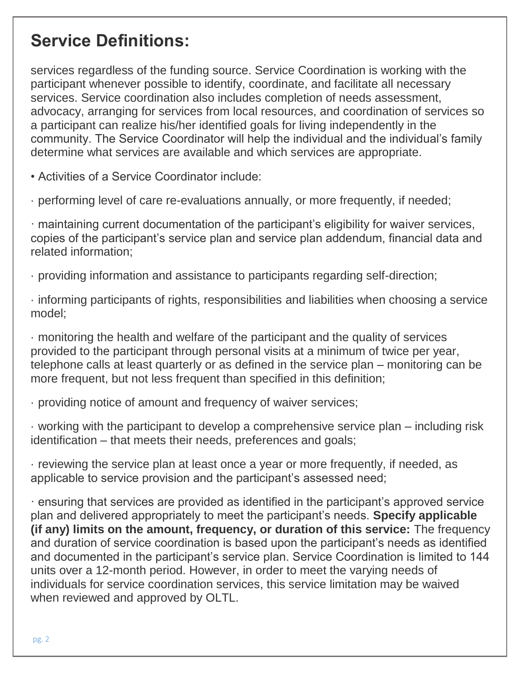services regardless of the funding source. Service Coordination is working with the participant whenever possible to identify, coordinate, and facilitate all necessary services. Service coordination also includes completion of needs assessment, advocacy, arranging for services from local resources, and coordination of services so a participant can realize his/her identified goals for living independently in the community. The Service Coordinator will help the individual and the individual's family determine what services are available and which services are appropriate.

• Activities of a Service Coordinator include:

· performing level of care re-evaluations annually, or more frequently, if needed;

· maintaining current documentation of the participant's eligibility for waiver services, copies of the participant's service plan and service plan addendum, financial data and related information;

· providing information and assistance to participants regarding self-direction;

· informing participants of rights, responsibilities and liabilities when choosing a service model;

· monitoring the health and welfare of the participant and the quality of services provided to the participant through personal visits at a minimum of twice per year, telephone calls at least quarterly or as defined in the service plan – monitoring can be more frequent, but not less frequent than specified in this definition;

· providing notice of amount and frequency of waiver services;

· working with the participant to develop a comprehensive service plan – including risk identification – that meets their needs, preferences and goals;

· reviewing the service plan at least once a year or more frequently, if needed, as applicable to service provision and the participant's assessed need;

· ensuring that services are provided as identified in the participant's approved service plan and delivered appropriately to meet the participant's needs. **Specify applicable (if any) limits on the amount, frequency, or duration of this service:** The frequency and duration of service coordination is based upon the participant's needs as identified and documented in the participant's service plan. Service Coordination is limited to 144 units over a 12-month period. However, in order to meet the varying needs of individuals for service coordination services, this service limitation may be waived when reviewed and approved by OLTL.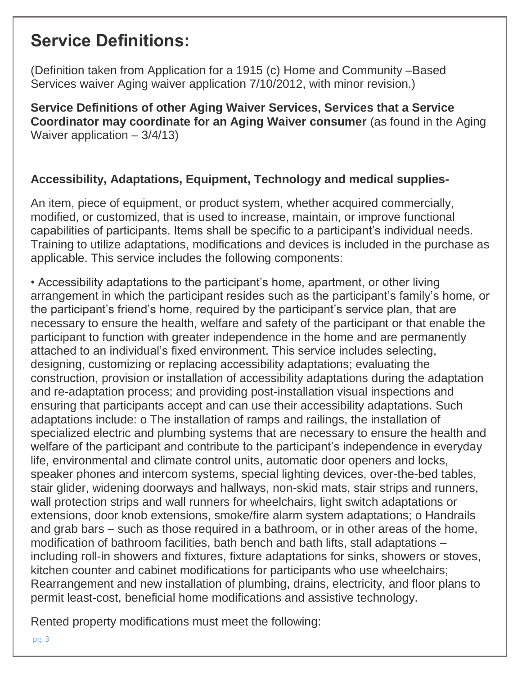(Definition taken from Application for a 1915 (c) Home and Community –Based Services waiver Aging waiver application 7/10/2012, with minor revision.)

**Service Definitions of other Aging Waiver Services, Services that a Service Coordinator may coordinate for an Aging Waiver consumer** (as found in the Aging Waiver application – 3/4/13)

### **Accessibility, Adaptations, Equipment, Technology and medical supplies-**

An item, piece of equipment, or product system, whether acquired commercially, modified, or customized, that is used to increase, maintain, or improve functional capabilities of participants. Items shall be specific to a participant's individual needs. Training to utilize adaptations, modifications and devices is included in the purchase as applicable. This service includes the following components:

• Accessibility adaptations to the participant's home, apartment, or other living arrangement in which the participant resides such as the participant's family's home, or the participant's friend's home, required by the participant's service plan, that are necessary to ensure the health, welfare and safety of the participant or that enable the participant to function with greater independence in the home and are permanently attached to an individual's fixed environment. This service includes selecting, designing, customizing or replacing accessibility adaptations; evaluating the construction, provision or installation of accessibility adaptations during the adaptation and re-adaptation process; and providing post-installation visual inspections and ensuring that participants accept and can use their accessibility adaptations. Such adaptations include: o The installation of ramps and railings, the installation of specialized electric and plumbing systems that are necessary to ensure the health and welfare of the participant and contribute to the participant's independence in everyday life, environmental and climate control units, automatic door openers and locks, speaker phones and intercom systems, special lighting devices, over-the-bed tables, stair glider, widening doorways and hallways, non-skid mats, stair strips and runners, wall protection strips and wall runners for wheelchairs, light switch adaptations or extensions, door knob extensions, smoke/fire alarm system adaptations; o Handrails and grab bars – such as those required in a bathroom, or in other areas of the home, modification of bathroom facilities, bath bench and bath lifts, stall adaptations – including roll-in showers and fixtures, fixture adaptations for sinks, showers or stoves, kitchen counter and cabinet modifications for participants who use wheelchairs; Rearrangement and new installation of plumbing, drains, electricity, and floor plans to permit least-cost, beneficial home modifications and assistive technology.

Rented property modifications must meet the following:

pg. 3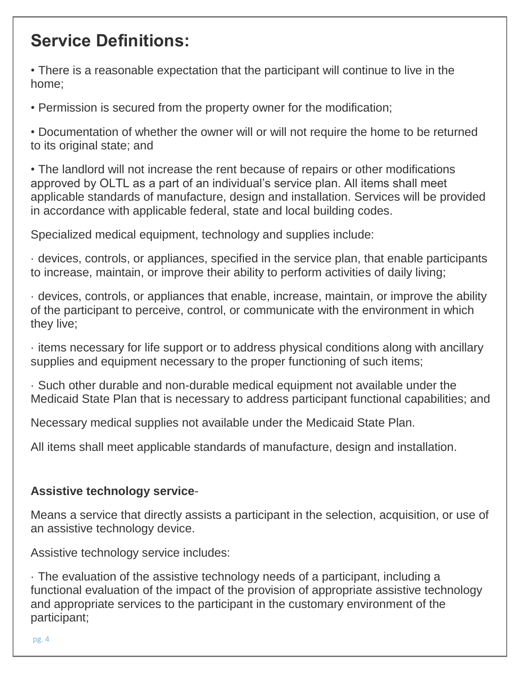• There is a reasonable expectation that the participant will continue to live in the home;

• Permission is secured from the property owner for the modification;

• Documentation of whether the owner will or will not require the home to be returned to its original state; and

• The landlord will not increase the rent because of repairs or other modifications approved by OLTL as a part of an individual's service plan. All items shall meet applicable standards of manufacture, design and installation. Services will be provided in accordance with applicable federal, state and local building codes.

Specialized medical equipment, technology and supplies include:

· devices, controls, or appliances, specified in the service plan, that enable participants to increase, maintain, or improve their ability to perform activities of daily living;

· devices, controls, or appliances that enable, increase, maintain, or improve the ability of the participant to perceive, control, or communicate with the environment in which they live;

· items necessary for life support or to address physical conditions along with ancillary supplies and equipment necessary to the proper functioning of such items;

· Such other durable and non-durable medical equipment not available under the Medicaid State Plan that is necessary to address participant functional capabilities; and

Necessary medical supplies not available under the Medicaid State Plan.

All items shall meet applicable standards of manufacture, design and installation.

### **Assistive technology service**-

Means a service that directly assists a participant in the selection, acquisition, or use of an assistive technology device.

Assistive technology service includes:

· The evaluation of the assistive technology needs of a participant, including a functional evaluation of the impact of the provision of appropriate assistive technology and appropriate services to the participant in the customary environment of the participant;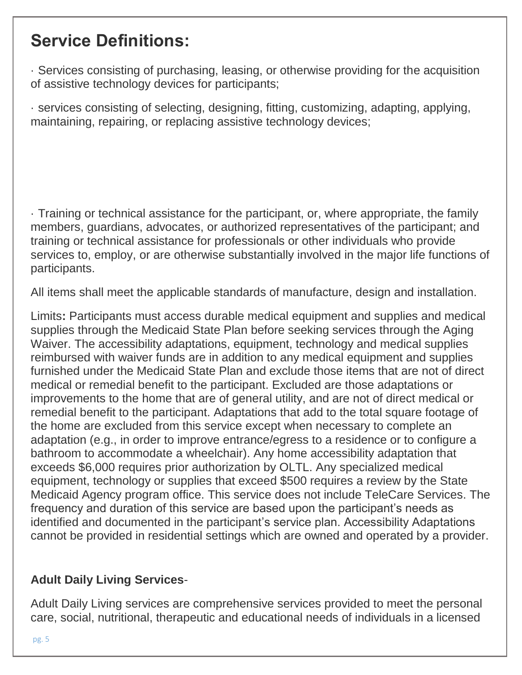· Services consisting of purchasing, leasing, or otherwise providing for the acquisition of assistive technology devices for participants;

· services consisting of selecting, designing, fitting, customizing, adapting, applying, maintaining, repairing, or replacing assistive technology devices;

· Training or technical assistance for the participant, or, where appropriate, the family members, guardians, advocates, or authorized representatives of the participant; and training or technical assistance for professionals or other individuals who provide services to, employ, or are otherwise substantially involved in the major life functions of participants.

All items shall meet the applicable standards of manufacture, design and installation.

Limits**:** Participants must access durable medical equipment and supplies and medical supplies through the Medicaid State Plan before seeking services through the Aging Waiver. The accessibility adaptations, equipment, technology and medical supplies reimbursed with waiver funds are in addition to any medical equipment and supplies furnished under the Medicaid State Plan and exclude those items that are not of direct medical or remedial benefit to the participant. Excluded are those adaptations or improvements to the home that are of general utility, and are not of direct medical or remedial benefit to the participant. Adaptations that add to the total square footage of the home are excluded from this service except when necessary to complete an adaptation (e.g., in order to improve entrance/egress to a residence or to configure a bathroom to accommodate a wheelchair). Any home accessibility adaptation that exceeds \$6,000 requires prior authorization by OLTL. Any specialized medical equipment, technology or supplies that exceed \$500 requires a review by the State Medicaid Agency program office. This service does not include TeleCare Services. The frequency and duration of this service are based upon the participant's needs as identified and documented in the participant's service plan. Accessibility Adaptations cannot be provided in residential settings which are owned and operated by a provider.

### **Adult Daily Living Services**-

Adult Daily Living services are comprehensive services provided to meet the personal care, social, nutritional, therapeutic and educational needs of individuals in a licensed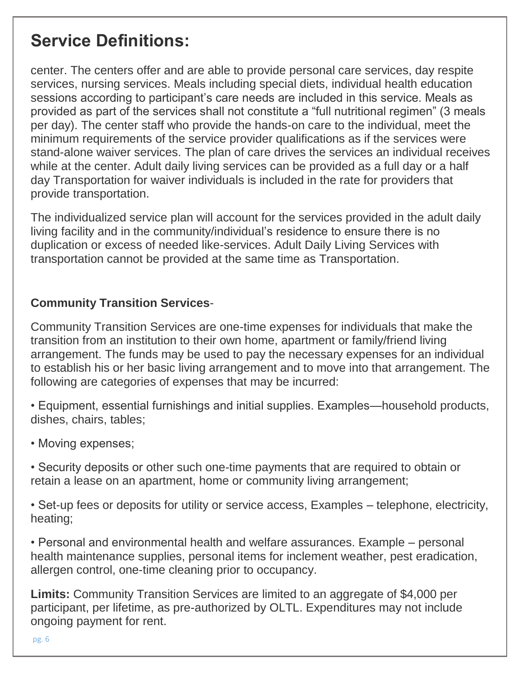center. The centers offer and are able to provide personal care services, day respite services, nursing services. Meals including special diets, individual health education sessions according to participant's care needs are included in this service. Meals as provided as part of the services shall not constitute a "full nutritional regimen" (3 meals per day). The center staff who provide the hands-on care to the individual, meet the minimum requirements of the service provider qualifications as if the services were stand-alone waiver services. The plan of care drives the services an individual receives while at the center. Adult daily living services can be provided as a full day or a half day Transportation for waiver individuals is included in the rate for providers that provide transportation.

The individualized service plan will account for the services provided in the adult daily living facility and in the community/individual's residence to ensure there is no duplication or excess of needed like-services. Adult Daily Living Services with transportation cannot be provided at the same time as Transportation.

### **Community Transition Services**-

Community Transition Services are one-time expenses for individuals that make the transition from an institution to their own home, apartment or family/friend living arrangement. The funds may be used to pay the necessary expenses for an individual to establish his or her basic living arrangement and to move into that arrangement. The following are categories of expenses that may be incurred:

• Equipment, essential furnishings and initial supplies. Examples—household products, dishes, chairs, tables;

- Moving expenses;
- Security deposits or other such one-time payments that are required to obtain or retain a lease on an apartment, home or community living arrangement;
- Set-up fees or deposits for utility or service access, Examples telephone, electricity, heating;

• Personal and environmental health and welfare assurances. Example – personal health maintenance supplies, personal items for inclement weather, pest eradication, allergen control, one-time cleaning prior to occupancy.

**Limits:** Community Transition Services are limited to an aggregate of \$4,000 per participant, per lifetime, as pre-authorized by OLTL. Expenditures may not include ongoing payment for rent.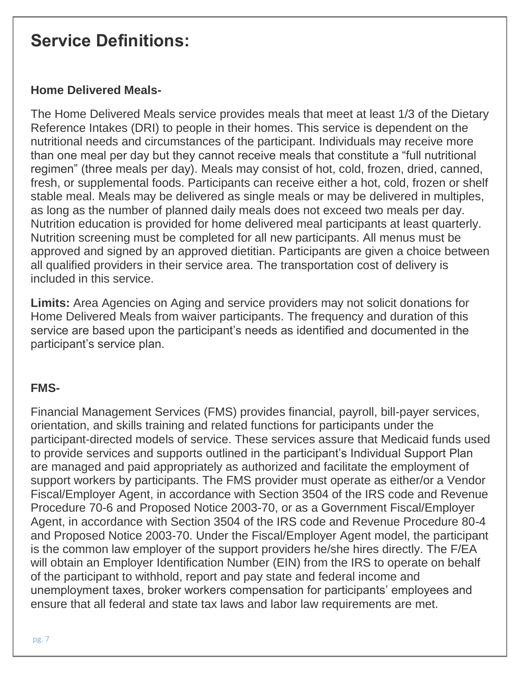### **Home Delivered Meals-**

The Home Delivered Meals service provides meals that meet at least 1/3 of the Dietary Reference Intakes (DRI) to people in their homes. This service is dependent on the nutritional needs and circumstances of the participant. Individuals may receive more than one meal per day but they cannot receive meals that constitute a "full nutritional regimen" (three meals per day). Meals may consist of hot, cold, frozen, dried, canned, fresh, or supplemental foods. Participants can receive either a hot, cold, frozen or shelf stable meal. Meals may be delivered as single meals or may be delivered in multiples, as long as the number of planned daily meals does not exceed two meals per day. Nutrition education is provided for home delivered meal participants at least quarterly. Nutrition screening must be completed for all new participants. All menus must be approved and signed by an approved dietitian. Participants are given a choice between all qualified providers in their service area. The transportation cost of delivery is included in this service.

**Limits:** Area Agencies on Aging and service providers may not solicit donations for Home Delivered Meals from waiver participants. The frequency and duration of this service are based upon the participant's needs as identified and documented in the participant's service plan.

### **FMS-**

Financial Management Services (FMS) provides financial, payroll, bill-payer services, orientation, and skills training and related functions for participants under the participant-directed models of service. These services assure that Medicaid funds used to provide services and supports outlined in the participant's Individual Support Plan are managed and paid appropriately as authorized and facilitate the employment of support workers by participants. The FMS provider must operate as either/or a Vendor Fiscal/Employer Agent, in accordance with Section 3504 of the IRS code and Revenue Procedure 70-6 and Proposed Notice 2003-70, or as a Government Fiscal/Employer Agent, in accordance with Section 3504 of the IRS code and Revenue Procedure 80-4 and Proposed Notice 2003-70. Under the Fiscal/Employer Agent model, the participant is the common law employer of the support providers he/she hires directly. The F/EA will obtain an Employer Identification Number (EIN) from the IRS to operate on behalf of the participant to withhold, report and pay state and federal income and unemployment taxes, broker workers compensation for participants' employees and ensure that all federal and state tax laws and labor law requirements are met.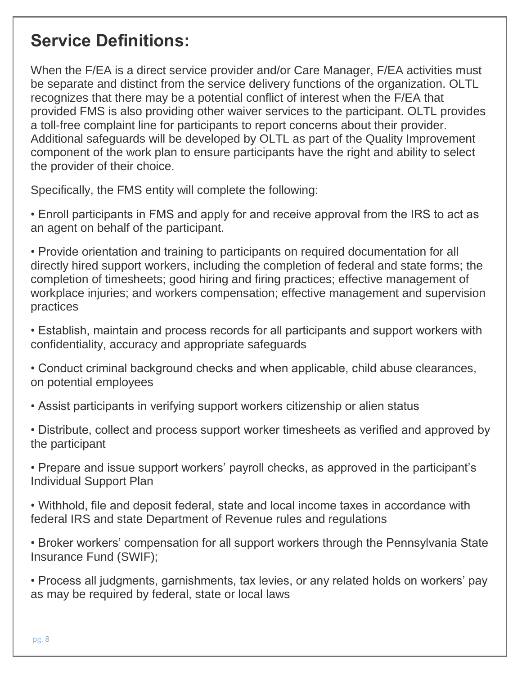When the F/EA is a direct service provider and/or Care Manager, F/EA activities must be separate and distinct from the service delivery functions of the organization. OLTL recognizes that there may be a potential conflict of interest when the F/EA that provided FMS is also providing other waiver services to the participant. OLTL provides a toll-free complaint line for participants to report concerns about their provider. Additional safeguards will be developed by OLTL as part of the Quality Improvement component of the work plan to ensure participants have the right and ability to select the provider of their choice.

Specifically, the FMS entity will complete the following:

• Enroll participants in FMS and apply for and receive approval from the IRS to act as an agent on behalf of the participant.

• Provide orientation and training to participants on required documentation for all directly hired support workers, including the completion of federal and state forms; the completion of timesheets; good hiring and firing practices; effective management of workplace injuries; and workers compensation; effective management and supervision practices

• Establish, maintain and process records for all participants and support workers with confidentiality, accuracy and appropriate safeguards

• Conduct criminal background checks and when applicable, child abuse clearances, on potential employees

• Assist participants in verifying support workers citizenship or alien status

• Distribute, collect and process support worker timesheets as verified and approved by the participant

• Prepare and issue support workers' payroll checks, as approved in the participant's Individual Support Plan

• Withhold, file and deposit federal, state and local income taxes in accordance with federal IRS and state Department of Revenue rules and regulations

• Broker workers' compensation for all support workers through the Pennsylvania State Insurance Fund (SWIF);

• Process all judgments, garnishments, tax levies, or any related holds on workers' pay as may be required by federal, state or local laws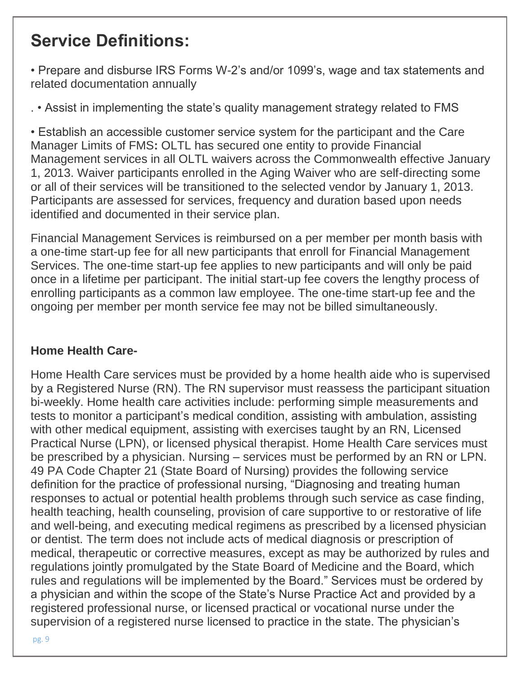• Prepare and disburse IRS Forms W-2's and/or 1099's, wage and tax statements and related documentation annually

. • Assist in implementing the state's quality management strategy related to FMS

• Establish an accessible customer service system for the participant and the Care Manager Limits of FMS**:** OLTL has secured one entity to provide Financial Management services in all OLTL waivers across the Commonwealth effective January 1, 2013. Waiver participants enrolled in the Aging Waiver who are self-directing some or all of their services will be transitioned to the selected vendor by January 1, 2013. Participants are assessed for services, frequency and duration based upon needs identified and documented in their service plan.

Financial Management Services is reimbursed on a per member per month basis with a one-time start-up fee for all new participants that enroll for Financial Management Services. The one-time start-up fee applies to new participants and will only be paid once in a lifetime per participant. The initial start-up fee covers the lengthy process of enrolling participants as a common law employee. The one-time start-up fee and the ongoing per member per month service fee may not be billed simultaneously.

### **Home Health Care-**

Home Health Care services must be provided by a home health aide who is supervised by a Registered Nurse (RN). The RN supervisor must reassess the participant situation bi-weekly. Home health care activities include: performing simple measurements and tests to monitor a participant's medical condition, assisting with ambulation, assisting with other medical equipment, assisting with exercises taught by an RN, Licensed Practical Nurse (LPN), or licensed physical therapist. Home Health Care services must be prescribed by a physician. Nursing – services must be performed by an RN or LPN. 49 PA Code Chapter 21 (State Board of Nursing) provides the following service definition for the practice of professional nursing, "Diagnosing and treating human responses to actual or potential health problems through such service as case finding, health teaching, health counseling, provision of care supportive to or restorative of life and well-being, and executing medical regimens as prescribed by a licensed physician or dentist. The term does not include acts of medical diagnosis or prescription of medical, therapeutic or corrective measures, except as may be authorized by rules and regulations jointly promulgated by the State Board of Medicine and the Board, which rules and regulations will be implemented by the Board." Services must be ordered by a physician and within the scope of the State's Nurse Practice Act and provided by a registered professional nurse, or licensed practical or vocational nurse under the supervision of a registered nurse licensed to practice in the state. The physician's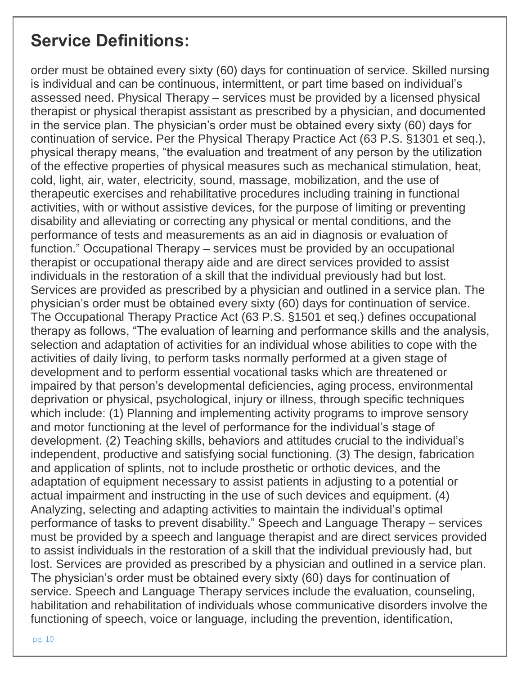order must be obtained every sixty (60) days for continuation of service. Skilled nursing is individual and can be continuous, intermittent, or part time based on individual's assessed need. Physical Therapy – services must be provided by a licensed physical therapist or physical therapist assistant as prescribed by a physician, and documented in the service plan. The physician's order must be obtained every sixty (60) days for continuation of service. Per the Physical Therapy Practice Act (63 P.S. §1301 et seq.), physical therapy means, "the evaluation and treatment of any person by the utilization of the effective properties of physical measures such as mechanical stimulation, heat, cold, light, air, water, electricity, sound, massage, mobilization, and the use of therapeutic exercises and rehabilitative procedures including training in functional activities, with or without assistive devices, for the purpose of limiting or preventing disability and alleviating or correcting any physical or mental conditions, and the performance of tests and measurements as an aid in diagnosis or evaluation of function." Occupational Therapy – services must be provided by an occupational therapist or occupational therapy aide and are direct services provided to assist individuals in the restoration of a skill that the individual previously had but lost. Services are provided as prescribed by a physician and outlined in a service plan. The physician's order must be obtained every sixty (60) days for continuation of service. The Occupational Therapy Practice Act (63 P.S. §1501 et seq.) defines occupational therapy as follows, "The evaluation of learning and performance skills and the analysis, selection and adaptation of activities for an individual whose abilities to cope with the activities of daily living, to perform tasks normally performed at a given stage of development and to perform essential vocational tasks which are threatened or impaired by that person's developmental deficiencies, aging process, environmental deprivation or physical, psychological, injury or illness, through specific techniques which include: (1) Planning and implementing activity programs to improve sensory and motor functioning at the level of performance for the individual's stage of development. (2) Teaching skills, behaviors and attitudes crucial to the individual's independent, productive and satisfying social functioning. (3) The design, fabrication and application of splints, not to include prosthetic or orthotic devices, and the adaptation of equipment necessary to assist patients in adjusting to a potential or actual impairment and instructing in the use of such devices and equipment. (4) Analyzing, selecting and adapting activities to maintain the individual's optimal performance of tasks to prevent disability." Speech and Language Therapy – services must be provided by a speech and language therapist and are direct services provided to assist individuals in the restoration of a skill that the individual previously had, but lost. Services are provided as prescribed by a physician and outlined in a service plan. The physician's order must be obtained every sixty (60) days for continuation of service. Speech and Language Therapy services include the evaluation, counseling, habilitation and rehabilitation of individuals whose communicative disorders involve the functioning of speech, voice or language, including the prevention, identification,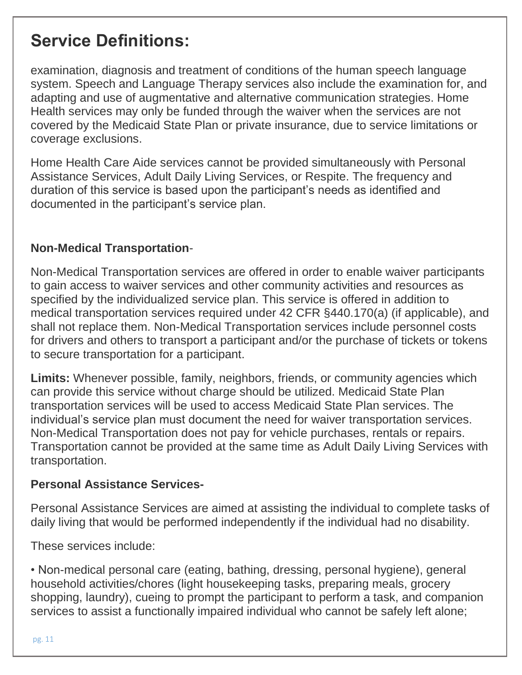examination, diagnosis and treatment of conditions of the human speech language system. Speech and Language Therapy services also include the examination for, and adapting and use of augmentative and alternative communication strategies. Home Health services may only be funded through the waiver when the services are not covered by the Medicaid State Plan or private insurance, due to service limitations or coverage exclusions.

Home Health Care Aide services cannot be provided simultaneously with Personal Assistance Services, Adult Daily Living Services, or Respite. The frequency and duration of this service is based upon the participant's needs as identified and documented in the participant's service plan.

### **Non-Medical Transportation**-

Non-Medical Transportation services are offered in order to enable waiver participants to gain access to waiver services and other community activities and resources as specified by the individualized service plan. This service is offered in addition to medical transportation services required under 42 CFR §440.170(a) (if applicable), and shall not replace them. Non-Medical Transportation services include personnel costs for drivers and others to transport a participant and/or the purchase of tickets or tokens to secure transportation for a participant.

**Limits:** Whenever possible, family, neighbors, friends, or community agencies which can provide this service without charge should be utilized. Medicaid State Plan transportation services will be used to access Medicaid State Plan services. The individual's service plan must document the need for waiver transportation services. Non-Medical Transportation does not pay for vehicle purchases, rentals or repairs. Transportation cannot be provided at the same time as Adult Daily Living Services with transportation.

#### **Personal Assistance Services-**

Personal Assistance Services are aimed at assisting the individual to complete tasks of daily living that would be performed independently if the individual had no disability.

These services include:

• Non-medical personal care (eating, bathing, dressing, personal hygiene), general household activities/chores (light housekeeping tasks, preparing meals, grocery shopping, laundry), cueing to prompt the participant to perform a task, and companion services to assist a functionally impaired individual who cannot be safely left alone;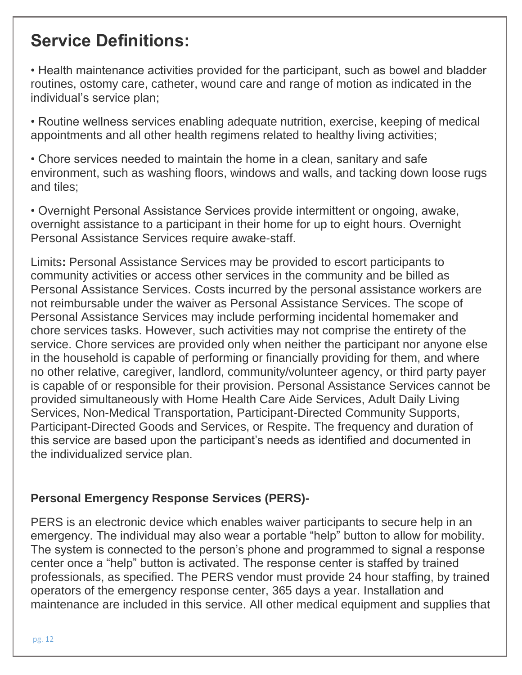• Health maintenance activities provided for the participant, such as bowel and bladder routines, ostomy care, catheter, wound care and range of motion as indicated in the individual's service plan;

• Routine wellness services enabling adequate nutrition, exercise, keeping of medical appointments and all other health regimens related to healthy living activities;

• Chore services needed to maintain the home in a clean, sanitary and safe environment, such as washing floors, windows and walls, and tacking down loose rugs and tiles;

• Overnight Personal Assistance Services provide intermittent or ongoing, awake, overnight assistance to a participant in their home for up to eight hours. Overnight Personal Assistance Services require awake-staff.

Limits**:** Personal Assistance Services may be provided to escort participants to community activities or access other services in the community and be billed as Personal Assistance Services. Costs incurred by the personal assistance workers are not reimbursable under the waiver as Personal Assistance Services. The scope of Personal Assistance Services may include performing incidental homemaker and chore services tasks. However, such activities may not comprise the entirety of the service. Chore services are provided only when neither the participant nor anyone else in the household is capable of performing or financially providing for them, and where no other relative, caregiver, landlord, community/volunteer agency, or third party payer is capable of or responsible for their provision. Personal Assistance Services cannot be provided simultaneously with Home Health Care Aide Services, Adult Daily Living Services, Non-Medical Transportation, Participant-Directed Community Supports, Participant-Directed Goods and Services, or Respite. The frequency and duration of this service are based upon the participant's needs as identified and documented in the individualized service plan.

### **Personal Emergency Response Services (PERS)-**

PERS is an electronic device which enables waiver participants to secure help in an emergency. The individual may also wear a portable "help" button to allow for mobility. The system is connected to the person's phone and programmed to signal a response center once a "help" button is activated. The response center is staffed by trained professionals, as specified. The PERS vendor must provide 24 hour staffing, by trained operators of the emergency response center, 365 days a year. Installation and maintenance are included in this service. All other medical equipment and supplies that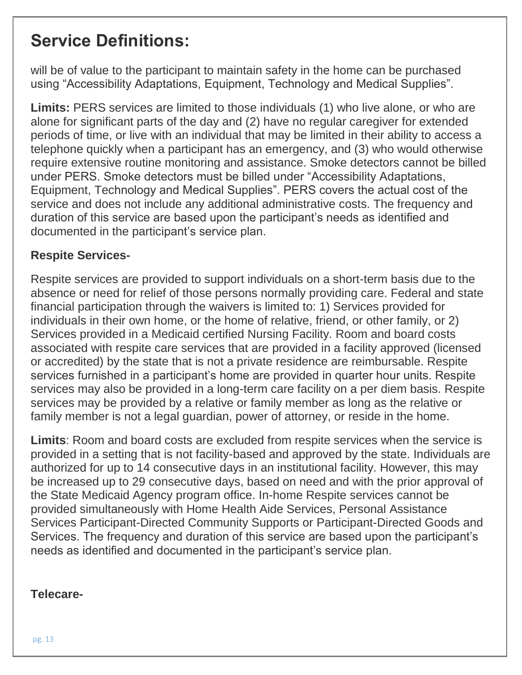will be of value to the participant to maintain safety in the home can be purchased using "Accessibility Adaptations, Equipment, Technology and Medical Supplies".

**Limits:** PERS services are limited to those individuals (1) who live alone, or who are alone for significant parts of the day and (2) have no regular caregiver for extended periods of time, or live with an individual that may be limited in their ability to access a telephone quickly when a participant has an emergency, and (3) who would otherwise require extensive routine monitoring and assistance. Smoke detectors cannot be billed under PERS. Smoke detectors must be billed under "Accessibility Adaptations, Equipment, Technology and Medical Supplies". PERS covers the actual cost of the service and does not include any additional administrative costs. The frequency and duration of this service are based upon the participant's needs as identified and documented in the participant's service plan.

### **Respite Services-**

Respite services are provided to support individuals on a short-term basis due to the absence or need for relief of those persons normally providing care. Federal and state financial participation through the waivers is limited to: 1) Services provided for individuals in their own home, or the home of relative, friend, or other family, or 2) Services provided in a Medicaid certified Nursing Facility. Room and board costs associated with respite care services that are provided in a facility approved (licensed or accredited) by the state that is not a private residence are reimbursable. Respite services furnished in a participant's home are provided in quarter hour units. Respite services may also be provided in a long-term care facility on a per diem basis. Respite services may be provided by a relative or family member as long as the relative or family member is not a legal guardian, power of attorney, or reside in the home.

**Limits**: Room and board costs are excluded from respite services when the service is provided in a setting that is not facility-based and approved by the state. Individuals are authorized for up to 14 consecutive days in an institutional facility. However, this may be increased up to 29 consecutive days, based on need and with the prior approval of the State Medicaid Agency program office. In-home Respite services cannot be provided simultaneously with Home Health Aide Services, Personal Assistance Services Participant-Directed Community Supports or Participant-Directed Goods and Services. The frequency and duration of this service are based upon the participant's needs as identified and documented in the participant's service plan.

#### **Telecare-**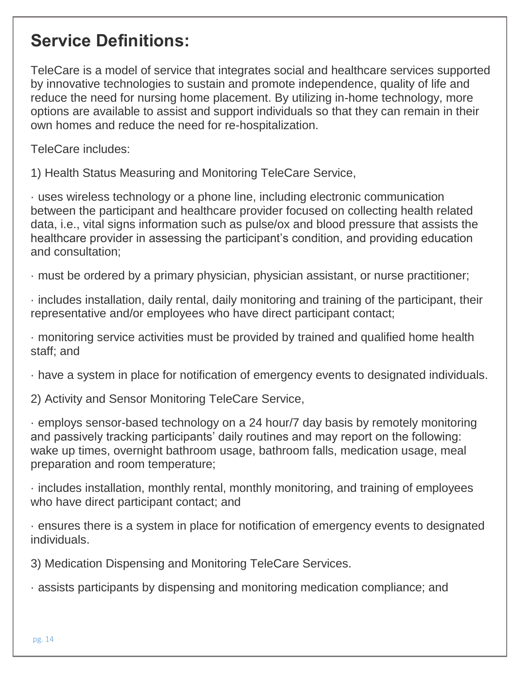TeleCare is a model of service that integrates social and healthcare services supported by innovative technologies to sustain and promote independence, quality of life and reduce the need for nursing home placement. By utilizing in-home technology, more options are available to assist and support individuals so that they can remain in their own homes and reduce the need for re-hospitalization.

TeleCare includes:

1) Health Status Measuring and Monitoring TeleCare Service,

· uses wireless technology or a phone line, including electronic communication between the participant and healthcare provider focused on collecting health related data, i.e., vital signs information such as pulse/ox and blood pressure that assists the healthcare provider in assessing the participant's condition, and providing education and consultation;

· must be ordered by a primary physician, physician assistant, or nurse practitioner;

· includes installation, daily rental, daily monitoring and training of the participant, their representative and/or employees who have direct participant contact;

· monitoring service activities must be provided by trained and qualified home health staff; and

· have a system in place for notification of emergency events to designated individuals.

2) Activity and Sensor Monitoring TeleCare Service,

· employs sensor-based technology on a 24 hour/7 day basis by remotely monitoring and passively tracking participants' daily routines and may report on the following: wake up times, overnight bathroom usage, bathroom falls, medication usage, meal preparation and room temperature;

· includes installation, monthly rental, monthly monitoring, and training of employees who have direct participant contact; and

· ensures there is a system in place for notification of emergency events to designated individuals.

3) Medication Dispensing and Monitoring TeleCare Services.

· assists participants by dispensing and monitoring medication compliance; and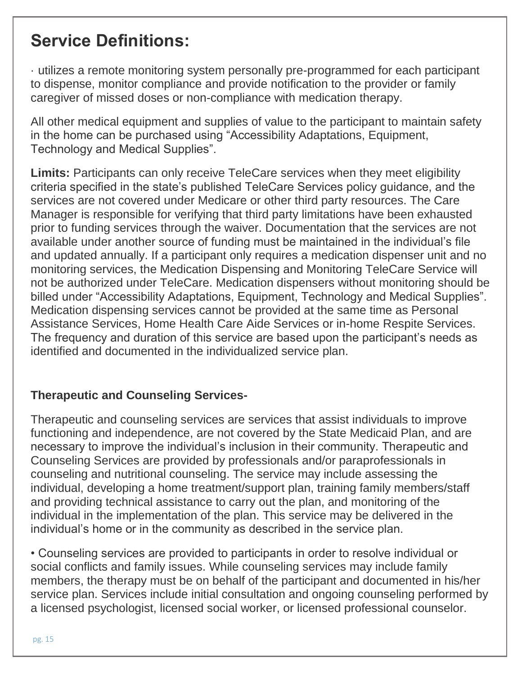· utilizes a remote monitoring system personally pre-programmed for each participant to dispense, monitor compliance and provide notification to the provider or family caregiver of missed doses or non-compliance with medication therapy.

All other medical equipment and supplies of value to the participant to maintain safety in the home can be purchased using "Accessibility Adaptations, Equipment, Technology and Medical Supplies".

Limits: Participants can only receive TeleCare services when they meet eligibility criteria specified in the state's published TeleCare Services policy guidance, and the services are not covered under Medicare or other third party resources. The Care Manager is responsible for verifying that third party limitations have been exhausted prior to funding services through the waiver. Documentation that the services are not available under another source of funding must be maintained in the individual's file and updated annually. If a participant only requires a medication dispenser unit and no monitoring services, the Medication Dispensing and Monitoring TeleCare Service will not be authorized under TeleCare. Medication dispensers without monitoring should be billed under "Accessibility Adaptations, Equipment, Technology and Medical Supplies". Medication dispensing services cannot be provided at the same time as Personal Assistance Services, Home Health Care Aide Services or in-home Respite Services. The frequency and duration of this service are based upon the participant's needs as identified and documented in the individualized service plan.

### **Therapeutic and Counseling Services-**

Therapeutic and counseling services are services that assist individuals to improve functioning and independence, are not covered by the State Medicaid Plan, and are necessary to improve the individual's inclusion in their community. Therapeutic and Counseling Services are provided by professionals and/or paraprofessionals in counseling and nutritional counseling. The service may include assessing the individual, developing a home treatment/support plan, training family members/staff and providing technical assistance to carry out the plan, and monitoring of the individual in the implementation of the plan. This service may be delivered in the individual's home or in the community as described in the service plan.

• Counseling services are provided to participants in order to resolve individual or social conflicts and family issues. While counseling services may include family members, the therapy must be on behalf of the participant and documented in his/her service plan. Services include initial consultation and ongoing counseling performed by a licensed psychologist, licensed social worker, or licensed professional counselor.